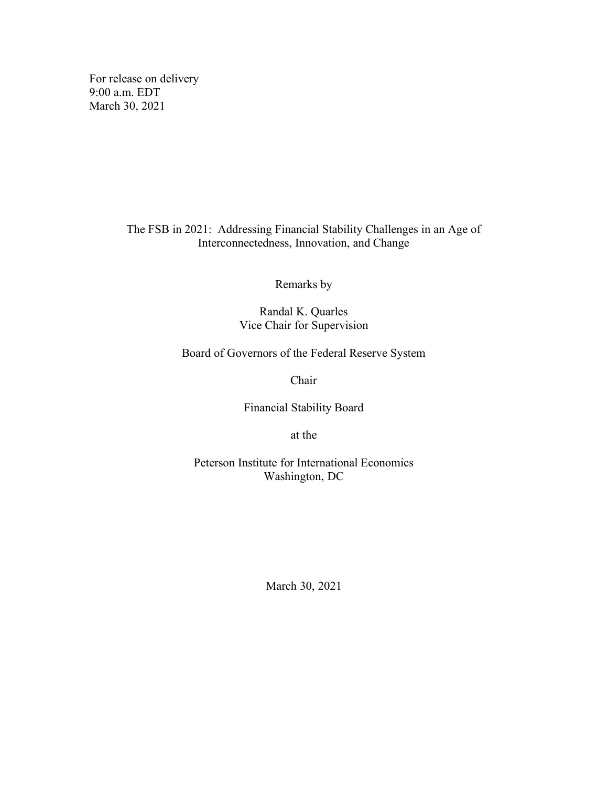For release on delivery 9:00 a.m. EDT March 30, 2021

> The FSB in 2021: Addressing Financial Stability Challenges in an Age of Interconnectedness, Innovation, and Change

> > Remarks by

Randal K. Quarles Vice Chair for Supervision

Board of Governors of the Federal Reserve System

Chair

Financial Stability Board

at the

Peterson Institute for International Economics Washington, DC

March 30, 2021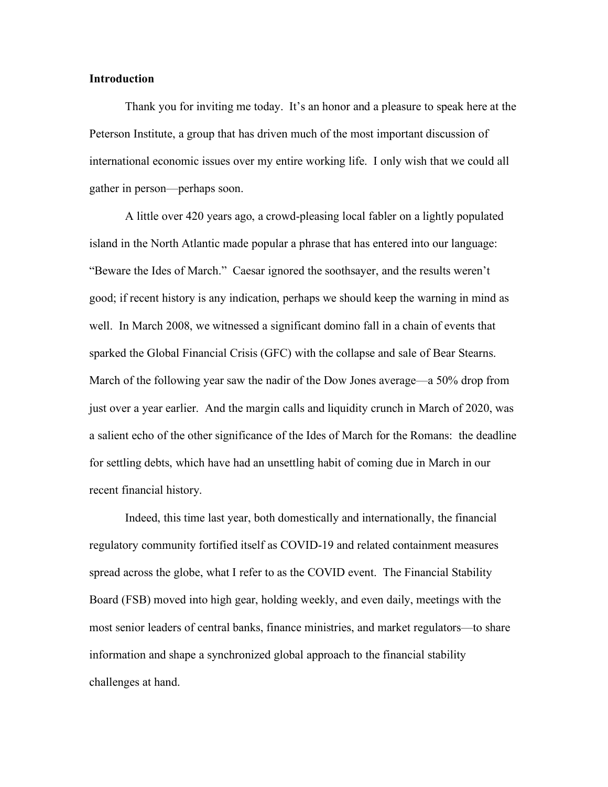# **Introduction**

Thank you for inviting me today. It's an honor and a pleasure to speak here at the Peterson Institute, a group that has driven much of the most important discussion of international economic issues over my entire working life. I only wish that we could all gather in person—perhaps soon.

A little over 420 years ago, a crowd-pleasing local fabler on a lightly populated island in the North Atlantic made popular a phrase that has entered into our language: "Beware the Ides of March." Caesar ignored the soothsayer, and the results weren't good; if recent history is any indication, perhaps we should keep the warning in mind as well. In March 2008, we witnessed a significant domino fall in a chain of events that sparked the Global Financial Crisis (GFC) with the collapse and sale of Bear Stearns. March of the following year saw the nadir of the Dow Jones average—a 50% drop from just over a year earlier. And the margin calls and liquidity crunch in March of 2020, was a salient echo of the other significance of the Ides of March for the Romans: the deadline for settling debts, which have had an unsettling habit of coming due in March in our recent financial history.

Indeed, this time last year, both domestically and internationally, the financial regulatory community fortified itself as COVID-19 and related containment measures spread across the globe, what I refer to as the COVID event. The Financial Stability Board (FSB) moved into high gear, holding weekly, and even daily, meetings with the most senior leaders of central banks, finance ministries, and market regulators—to share information and shape a synchronized global approach to the financial stability challenges at hand.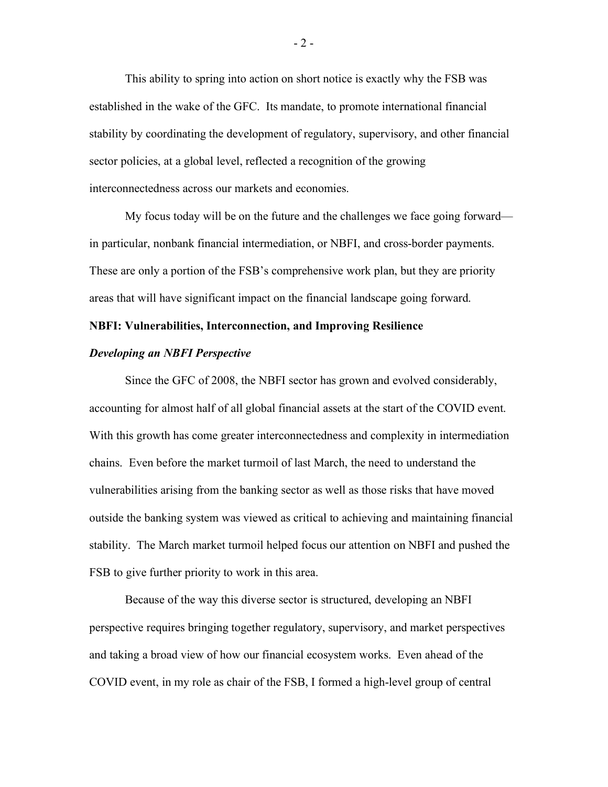This ability to spring into action on short notice is exactly why the FSB was established in the wake of the GFC. Its mandate, to promote international financial stability by coordinating the development of regulatory, supervisory, and other financial sector policies, at a global level, reflected a recognition of the growing interconnectedness across our markets and economies.

My focus today will be on the future and the challenges we face going forward in particular, nonbank financial intermediation, or NBFI, and cross-border payments. These are only a portion of the FSB's comprehensive work plan, but they are priority areas that will have significant impact on the financial landscape going forward.

## **NBFI: Vulnerabilities, Interconnection, and Improving Resilience**

### *Developing an NBFI Perspective*

Since the GFC of 2008, the NBFI sector has grown and evolved considerably, accounting for almost half of all global financial assets at the start of the COVID event. With this growth has come greater interconnectedness and complexity in intermediation chains. Even before the market turmoil of last March, the need to understand the vulnerabilities arising from the banking sector as well as those risks that have moved outside the banking system was viewed as critical to achieving and maintaining financial stability. The March market turmoil helped focus our attention on NBFI and pushed the FSB to give further priority to work in this area.

Because of the way this diverse sector is structured, developing an NBFI perspective requires bringing together regulatory, supervisory, and market perspectives and taking a broad view of how our financial ecosystem works. Even ahead of the COVID event, in my role as chair of the FSB, I formed a high-level group of central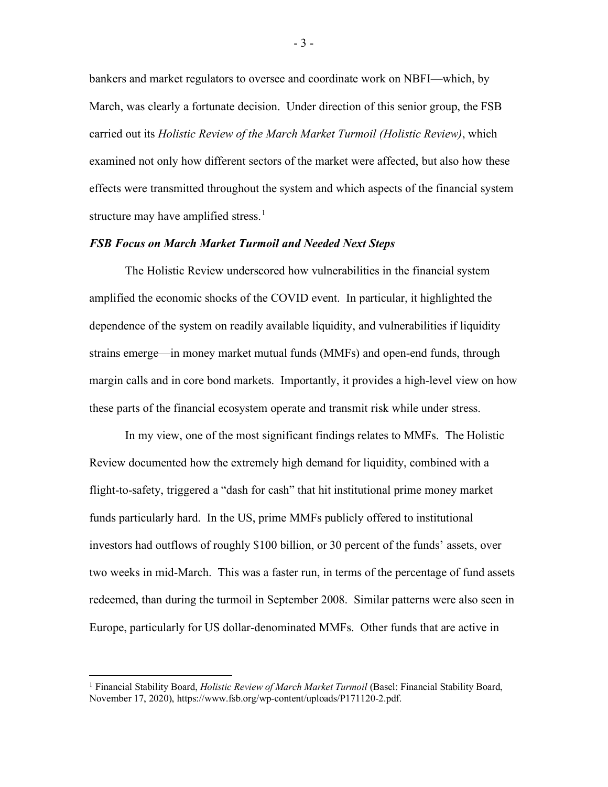bankers and market regulators to oversee and coordinate work on NBFI—which, by March, was clearly a fortunate decision. Under direction of this senior group, the FSB carried out its *Holistic Review of the March Market Turmoil (Holistic Review)*, which examined not only how different sectors of the market were affected, but also how these effects were transmitted throughout the system and which aspects of the financial system structure may have amplified stress.<sup>[1](#page-3-0)</sup>

## *FSB Focus on March Market Turmoil and Needed Next Steps*

The Holistic Review underscored how vulnerabilities in the financial system amplified the economic shocks of the COVID event. In particular, it highlighted the dependence of the system on readily available liquidity, and vulnerabilities if liquidity strains emerge—in money market mutual funds (MMFs) and open-end funds, through margin calls and in core bond markets. Importantly, it provides a high-level view on how these parts of the financial ecosystem operate and transmit risk while under stress.

In my view, one of the most significant findings relates to MMFs. The Holistic Review documented how the extremely high demand for liquidity, combined with a flight-to-safety, triggered a "dash for cash" that hit institutional prime money market funds particularly hard. In the US, prime MMFs publicly offered to institutional investors had outflows of roughly \$100 billion, or 30 percent of the funds' assets, over two weeks in mid-March. This was a faster run, in terms of the percentage of fund assets redeemed, than during the turmoil in September 2008. Similar patterns were also seen in Europe, particularly for US dollar-denominated MMFs. Other funds that are active in

- 3 -

<span id="page-3-0"></span><sup>1</sup> Financial Stability Board, *Holistic Review of March Market Turmoil* (Basel: Financial Stability Board, November 17, 2020), https://www.fsb.org/wp-content/uploads/P171120-2.pdf.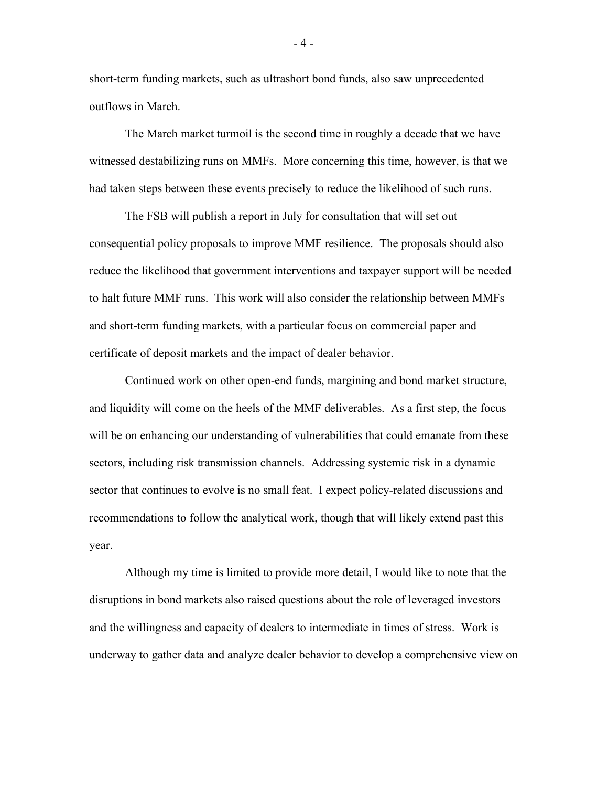short-term funding markets, such as ultrashort bond funds, also saw unprecedented outflows in March.

The March market turmoil is the second time in roughly a decade that we have witnessed destabilizing runs on MMFs. More concerning this time, however, is that we had taken steps between these events precisely to reduce the likelihood of such runs.

The FSB will publish a report in July for consultation that will set out consequential policy proposals to improve MMF resilience. The proposals should also reduce the likelihood that government interventions and taxpayer support will be needed to halt future MMF runs. This work will also consider the relationship between MMFs and short-term funding markets, with a particular focus on commercial paper and certificate of deposit markets and the impact of dealer behavior.

Continued work on other open-end funds, margining and bond market structure, and liquidity will come on the heels of the MMF deliverables. As a first step, the focus will be on enhancing our understanding of vulnerabilities that could emanate from these sectors, including risk transmission channels. Addressing systemic risk in a dynamic sector that continues to evolve is no small feat. I expect policy-related discussions and recommendations to follow the analytical work, though that will likely extend past this year.

Although my time is limited to provide more detail, I would like to note that the disruptions in bond markets also raised questions about the role of leveraged investors and the willingness and capacity of dealers to intermediate in times of stress. Work is underway to gather data and analyze dealer behavior to develop a comprehensive view on

- 4 -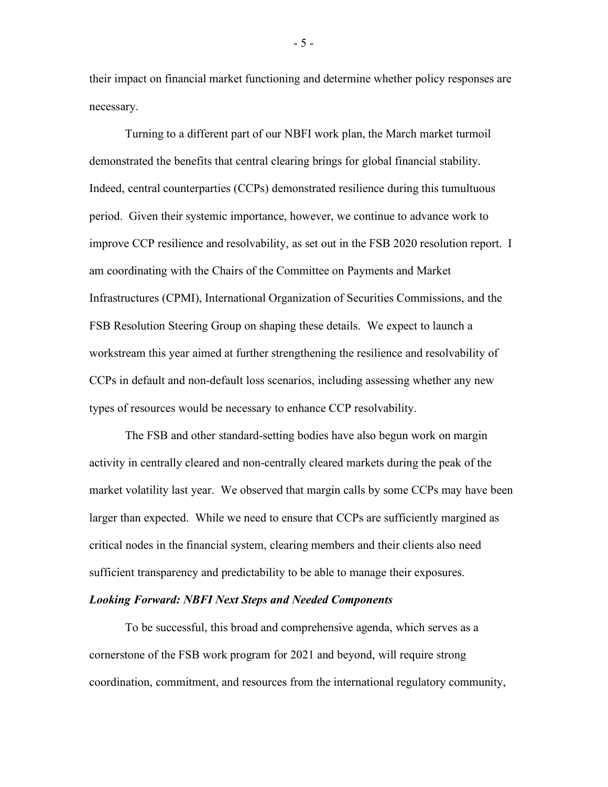their impact on financial market functioning and determine whether policy responses are necessary.

Turning to a different part of our NBFI work plan, the March market turmoil demonstrated the benefits that central clearing brings for global financial stability. Indeed, central counterparties (CCPs) demonstrated resilience during this tumultuous period. Given their systemic importance, however, we continue to advance work to improve CCP resilience and resolvability, as set out in the FSB 2020 resolution report. I am coordinating with the Chairs of the Committee on Payments and Market Infrastructures (CPMI), International Organization of Securities Commissions, and the FSB Resolution Steering Group on shaping these details. We expect to launch a workstream this year aimed at further strengthening the resilience and resolvability of CCPs in default and non-default loss scenarios, including assessing whether any new types of resources would be necessary to enhance CCP resolvability.

The FSB and other standard-setting bodies have also begun work on margin activity in centrally cleared and non-centrally cleared markets during the peak of the market volatility last year. We observed that margin calls by some CCPs may have been larger than expected. While we need to ensure that CCPs are sufficiently margined as critical nodes in the financial system, clearing members and their clients also need sufficient transparency and predictability to be able to manage their exposures.

#### *Looking Forward: NBFI Next Steps and Needed Components*

To be successful, this broad and comprehensive agenda, which serves as a cornerstone of the FSB work program for 2021 and beyond, will require strong coordination, commitment, and resources from the international regulatory community,

- 5 -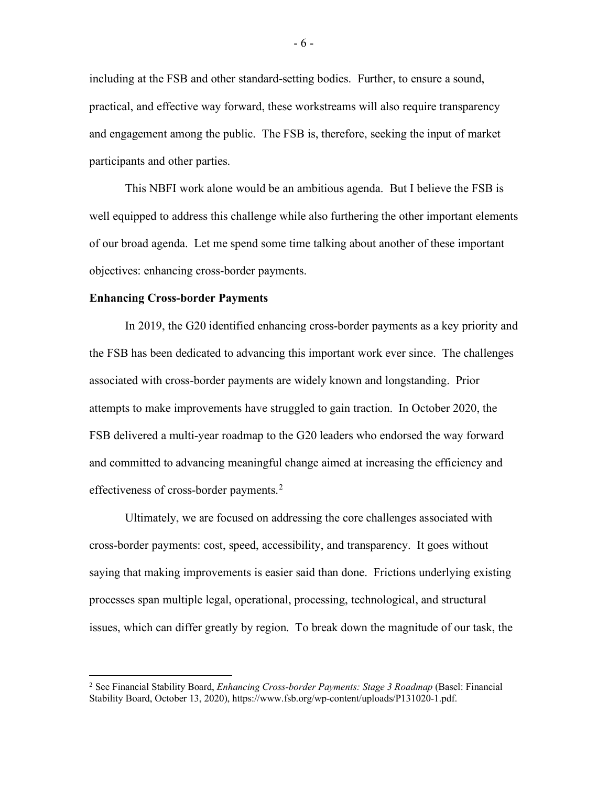including at the FSB and other standard-setting bodies. Further, to ensure a sound, practical, and effective way forward, these workstreams will also require transparency and engagement among the public. The FSB is, therefore, seeking the input of market participants and other parties.

This NBFI work alone would be an ambitious agenda. But I believe the FSB is well equipped to address this challenge while also furthering the other important elements of our broad agenda. Let me spend some time talking about another of these important objectives: enhancing cross-border payments.

#### **Enhancing Cross-border Payments**

In 2019, the G20 identified enhancing cross-border payments as a key priority and the FSB has been dedicated to advancing this important work ever since. The challenges associated with cross-border payments are widely known and longstanding. Prior attempts to make improvements have struggled to gain traction. In October 2020, the FSB delivered a multi-year roadmap to the G20 leaders who endorsed the way forward and committed to advancing meaningful change aimed at increasing the efficiency and effectiveness of cross-border payments.<sup>[2](#page-6-0)</sup>

Ultimately, we are focused on addressing the core challenges associated with cross-border payments: cost, speed, accessibility, and transparency. It goes without saying that making improvements is easier said than done. Frictions underlying existing processes span multiple legal, operational, processing, technological, and structural issues, which can differ greatly by region. To break down the magnitude of our task, the

<span id="page-6-0"></span><sup>2</sup> See Financial Stability Board, *Enhancing Cross-border Payments: Stage 3 Roadmap* (Basel: Financial Stability Board, October 13, 2020), https://www.fsb.org/wp-content/uploads/P131020-1.pdf.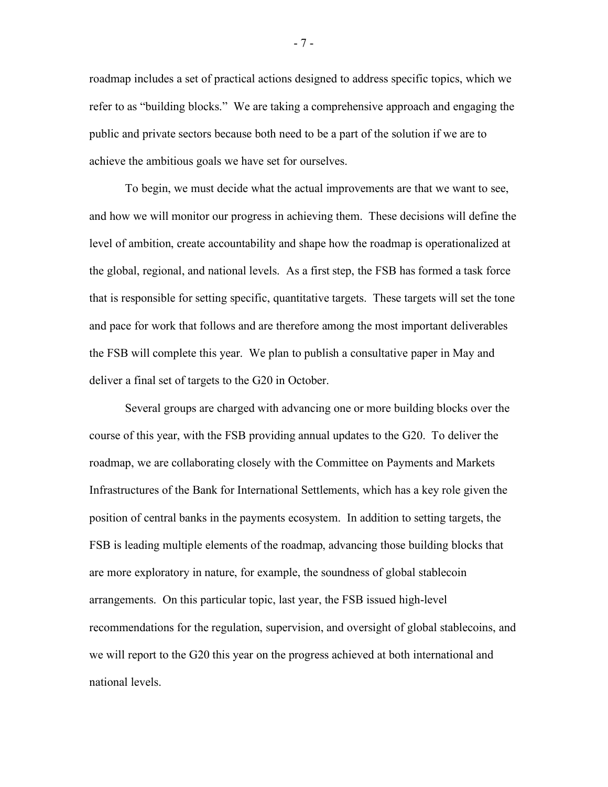roadmap includes a set of practical actions designed to address specific topics, which we refer to as "building blocks." We are taking a comprehensive approach and engaging the public and private sectors because both need to be a part of the solution if we are to achieve the ambitious goals we have set for ourselves.

To begin, we must decide what the actual improvements are that we want to see, and how we will monitor our progress in achieving them. These decisions will define the level of ambition, create accountability and shape how the roadmap is operationalized at the global, regional, and national levels. As a first step, the FSB has formed a task force that is responsible for setting specific, quantitative targets. These targets will set the tone and pace for work that follows and are therefore among the most important deliverables the FSB will complete this year. We plan to publish a consultative paper in May and deliver a final set of targets to the G20 in October.

Several groups are charged with advancing one or more building blocks over the course of this year, with the FSB providing annual updates to the G20. To deliver the roadmap, we are collaborating closely with the Committee on Payments and Markets Infrastructures of the Bank for International Settlements, which has a key role given the position of central banks in the payments ecosystem. In addition to setting targets, the FSB is leading multiple elements of the roadmap, advancing those building blocks that are more exploratory in nature, for example, the soundness of global stablecoin arrangements. On this particular topic, last year, the FSB issued high-level recommendations for the regulation, supervision, and oversight of global stablecoins, and we will report to the G20 this year on the progress achieved at both international and national levels.

- 7 -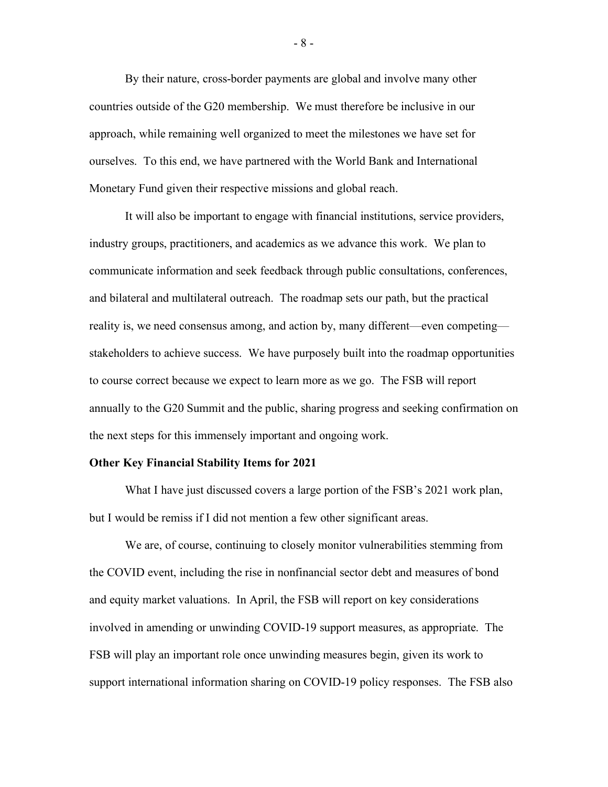By their nature, cross-border payments are global and involve many other countries outside of the G20 membership. We must therefore be inclusive in our approach, while remaining well organized to meet the milestones we have set for ourselves. To this end, we have partnered with the World Bank and International Monetary Fund given their respective missions and global reach.

It will also be important to engage with financial institutions, service providers, industry groups, practitioners, and academics as we advance this work. We plan to communicate information and seek feedback through public consultations, conferences, and bilateral and multilateral outreach. The roadmap sets our path, but the practical reality is, we need consensus among, and action by, many different—even competing stakeholders to achieve success. We have purposely built into the roadmap opportunities to course correct because we expect to learn more as we go. The FSB will report annually to the G20 Summit and the public, sharing progress and seeking confirmation on the next steps for this immensely important and ongoing work.

#### **Other Key Financial Stability Items for 2021**

What I have just discussed covers a large portion of the FSB's 2021 work plan, but I would be remiss if I did not mention a few other significant areas.

We are, of course, continuing to closely monitor vulnerabilities stemming from the COVID event, including the rise in nonfinancial sector debt and measures of bond and equity market valuations. In April, the FSB will report on key considerations involved in amending or unwinding COVID-19 support measures, as appropriate. The FSB will play an important role once unwinding measures begin, given its work to support international information sharing on COVID-19 policy responses. The FSB also

- 8 -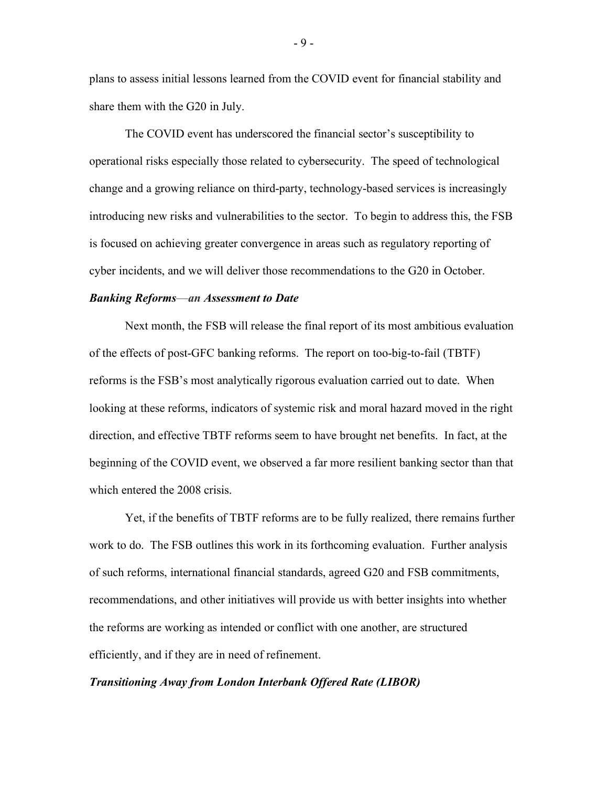plans to assess initial lessons learned from the COVID event for financial stability and share them with the G20 in July.

The COVID event has underscored the financial sector's susceptibility to operational risks especially those related to cybersecurity. The speed of technological change and a growing reliance on third-party, technology-based services is increasingly introducing new risks and vulnerabilities to the sector. To begin to address this, the FSB is focused on achieving greater convergence in areas such as regulatory reporting of cyber incidents, and we will deliver those recommendations to the G20 in October.

### *Banking Reforms*—*an Assessment to Date*

Next month, the FSB will release the final report of its most ambitious evaluation of the effects of post-GFC banking reforms. The report on too-big-to-fail (TBTF) reforms is the FSB's most analytically rigorous evaluation carried out to date. When looking at these reforms, indicators of systemic risk and moral hazard moved in the right direction, and effective TBTF reforms seem to have brought net benefits. In fact, at the beginning of the COVID event, we observed a far more resilient banking sector than that which entered the 2008 crisis.

Yet, if the benefits of TBTF reforms are to be fully realized, there remains further work to do. The FSB outlines this work in its forthcoming evaluation. Further analysis of such reforms, international financial standards, agreed G20 and FSB commitments, recommendations, and other initiatives will provide us with better insights into whether the reforms are working as intended or conflict with one another, are structured efficiently, and if they are in need of refinement.

# *Transitioning Away from London Interbank Offered Rate (LIBOR)*

- 9 -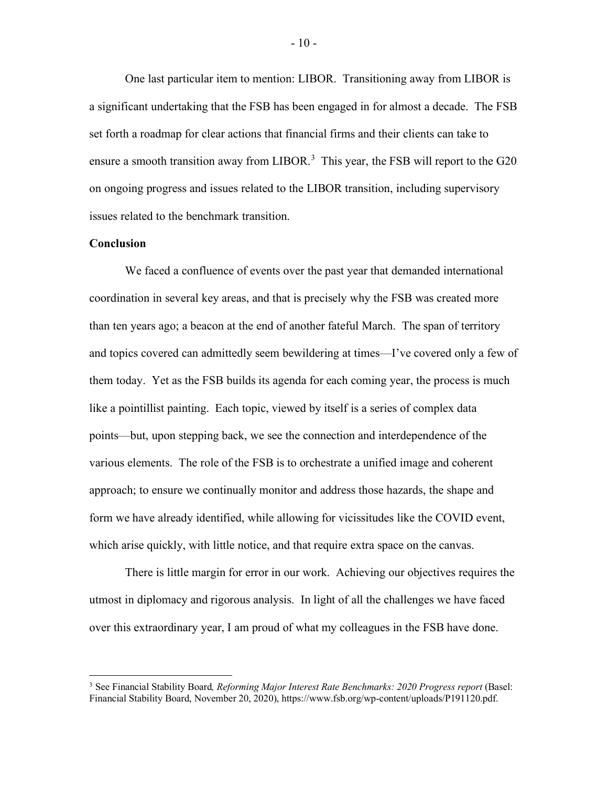One last particular item to mention: LIBOR. Transitioning away from LIBOR is a significant undertaking that the FSB has been engaged in for almost a decade. The FSB set forth a roadmap for clear actions that financial firms and their clients can take to ensure a smooth transition away from LIBOR.<sup>[3](#page-10-0)</sup> This year, the FSB will report to the G20 on ongoing progress and issues related to the LIBOR transition, including supervisory issues related to the benchmark transition.

## **Conclusion**

We faced a confluence of events over the past year that demanded international coordination in several key areas, and that is precisely why the FSB was created more than ten years ago; a beacon at the end of another fateful March. The span of territory and topics covered can admittedly seem bewildering at times—I've covered only a few of them today. Yet as the FSB builds its agenda for each coming year, the process is much like a pointillist painting. Each topic, viewed by itself is a series of complex data points—but, upon stepping back, we see the connection and interdependence of the various elements. The role of the FSB is to orchestrate a unified image and coherent approach; to ensure we continually monitor and address those hazards, the shape and form we have already identified, while allowing for vicissitudes like the COVID event, which arise quickly, with little notice, and that require extra space on the canvas.

There is little margin for error in our work. Achieving our objectives requires the utmost in diplomacy and rigorous analysis. In light of all the challenges we have faced over this extraordinary year, I am proud of what my colleagues in the FSB have done.

- 10 -

<span id="page-10-0"></span><sup>3</sup> See Financial Stability Board*, Reforming Major Interest Rate Benchmarks: 2020 Progress report* (Basel: Financial Stability Board, November 20, 2020), https://www.fsb.org/wp-content/uploads/P191120.pdf.